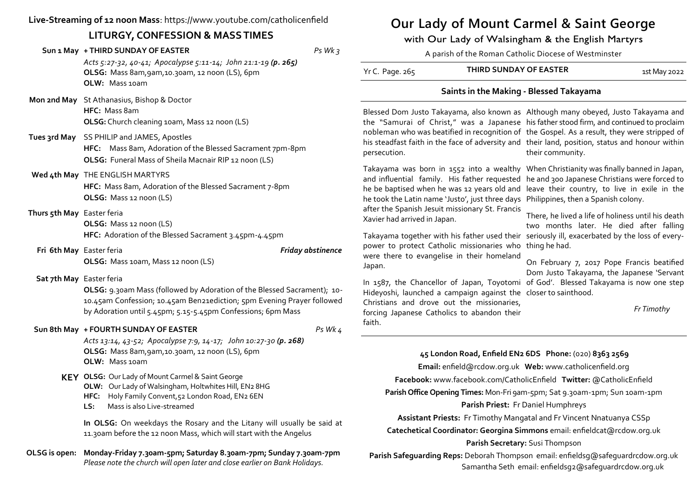# **Live-Streaming of 12 noon Mass**: https://www.youtube.com/catholicenfield

# **LITURGY, CONFESSION & MASS TIMES**

|                            | Sun 1 May + THIRD SUNDAY OF EASTER<br>Acts 5:27-32, 40-41; Apocalypse 5:11-14; John 21:1-19 (p. 265)<br>OLSG: Mass 8am, 9am, 10.30am, 12 noon (LS), 6pm<br>OLW: Mass 10am                                         | $Ps$ Wk $3$       |
|----------------------------|-------------------------------------------------------------------------------------------------------------------------------------------------------------------------------------------------------------------|-------------------|
|                            | Mon 2nd May St Athanasius, Bishop & Doctor<br>HFC: Mass 8am<br>OLSG: Church cleaning 10am, Mass 12 noon (LS)                                                                                                      |                   |
|                            | Tues 3rd May SS PHILIP and JAMES, Apostles<br>HFC: Mass 8am, Adoration of the Blessed Sacrament 7pm-8pm<br>OLSG: Funeral Mass of Sheila Macnair RIP 12 noon (LS)                                                  |                   |
|                            | Wed 4th May THE ENGLISH MARTYRS<br>HFC: Mass 8am, Adoration of the Blessed Sacrament 7-8pm<br>OLSG: Mass 12 noon (LS)                                                                                             |                   |
| Thurs 5th May Easter feria | OLSG: Mass 12 noon (LS)<br>HFC: Adoration of the Blessed Sacrament 3.45pm-4.45pm                                                                                                                                  |                   |
|                            |                                                                                                                                                                                                                   |                   |
| Fri 6th May Easter feria   | OLSG: Mass 10am, Mass 12 noon (LS)                                                                                                                                                                                | Friday abstinence |
| Sat 7th May Easter feria   | OLSG: 9.30am Mass (followed by Adoration of the Blessed Sacrament); 10-<br>10.45am Confession; 10.45am Ben21ediction; 5pm Evening Prayer followed<br>by Adoration until 5.45pm; 5.15-5.45pm Confessions; 6pm Mass |                   |
|                            | Sun 8th May + FOURTH SUNDAY OF EASTER<br>Acts 13:14, 43-52; Apocalypse 7:9, 14-17; John 10:27-30 (p. 268)<br>OLSG: Mass 8am, 9am, 10.30am, 12 noon (LS), 6pm<br>OLW: Mass 10am                                    | Ps Wk 4           |
|                            | KEY OLSG: Our Lady of Mount Carmel & Saint George<br>OLW: Our Lady of Walsingham, Holtwhites Hill, EN2 8HG<br>HFC:<br>Holy Family Convent, 52 London Road, EN2 6EN<br>Mass is also Live-streamed<br>LS:           |                   |

**OLSG is open: Monday-Friday 7.30am-5pm; Saturday 8.30am-7pm; Sunday 7.30am-7pm** *Please note the church will open later and close earlier on Bank Holidays.*

# **Our Lady of Mount Carmel & Saint George**

with Our Lady of Walsingham & the English Martyrs

A parish of the Roman Catholic Diocese of Westminster

| Yr C. Page. 265 | THIRD SUNDAY OF EASTER | 1st May 2022 |
|-----------------|------------------------|--------------|
|-----------------|------------------------|--------------|

## **Saints in the Making - Blessed Takayama**

Blessed Dom Justo Takayama, also known as Although many obeyed, Justo Takayama and the "Samurai of Christ," was a Japanese his father stood firm, and continued to proclaim nobleman who was beatified in recognition of the Gospel. As a result, they were stripped of his steadfast faith in the face of adversity and their land, position, status and honour within persecution. their community.

Takayama was born in 1552 into a wealthy When Christianity was finally banned in Japan, and influential family. His father requested he and 300 Japanese Christians were forced to he be baptised when he was 12 years old and leave their country, to live in exile in the he took the Latin name 'Justo', just three days Philippines, then a Spanish colony. after the Spanish Jesuit missionary St. Francis Xavier had arrived in Japan.

Takayama together with his father used their seriously ill, exacerbated by the loss of everypower to protect Catholic missionaries who thing he had. were there to evangelise in their homeland Japan.

In 1587, the Chancellor of Japan, Toyotomi of God'. Blessed Takayama is now one step Hideyoshi, launched a campaign against the closer to sainthood.

Christians and drove out the missionaries, forcing Japanese Catholics to abandon their faith.

There, he lived a life of holiness until his death two months later. He died after falling

On February 7, 2017 Pope Francis beatified Dom Justo Takayama, the Japanese 'Servant

*Fr Timothy*

### **45 London Road, Enfield EN2 6DS Phone:** (020) **8363 2569**

**Email:** enfield@rcdow.org.uk **Web:** www.catholicenfield.org

**Facebook:** www.facebook.com/CatholicEnfield **Twitter:** @CatholicEnfield

**Parish Office Opening Times:** Mon-Fri 9am-5pm; Sat 9.30am-1pm; Sun 10am-1pm

#### **Parish Priest:** Fr Daniel Humphreys

**Assistant Priests:** Fr Timothy Mangatal and Fr Vincent Nnatuanya CSSp

**Catechetical Coordinator: Georgina Simmons** email: enfieldcat@rcdow.org.uk **Parish Secretary:** Susi Thompson

**Parish Safeguarding Reps:** Deborah Thompson email: enfieldsg@safeguardrcdow.org.uk Samantha Seth email: enfieldsg2@safeguardrcdow.org.uk